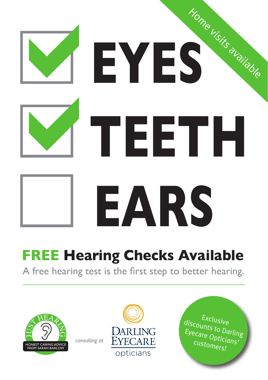

# **FREE Hearing Checks Available**

A free hearing test is the first step to better hearing.



*consulting at*



**Exclusive** discounts to Darling Eyecare Opticians' customers!